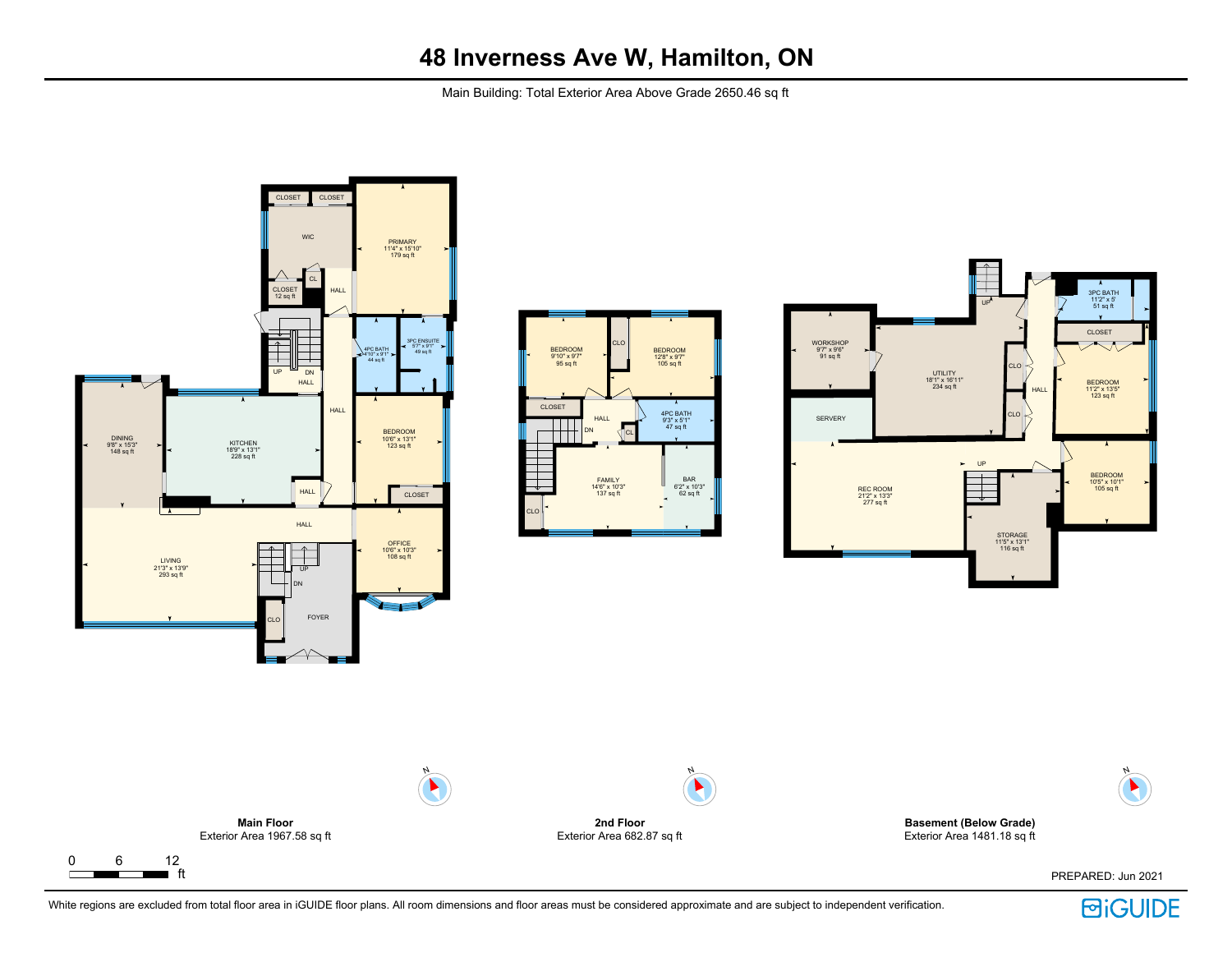Main Building: Total Exterior Area Above Grade 2650.46 sq ft









PREPARED: Jun 2021

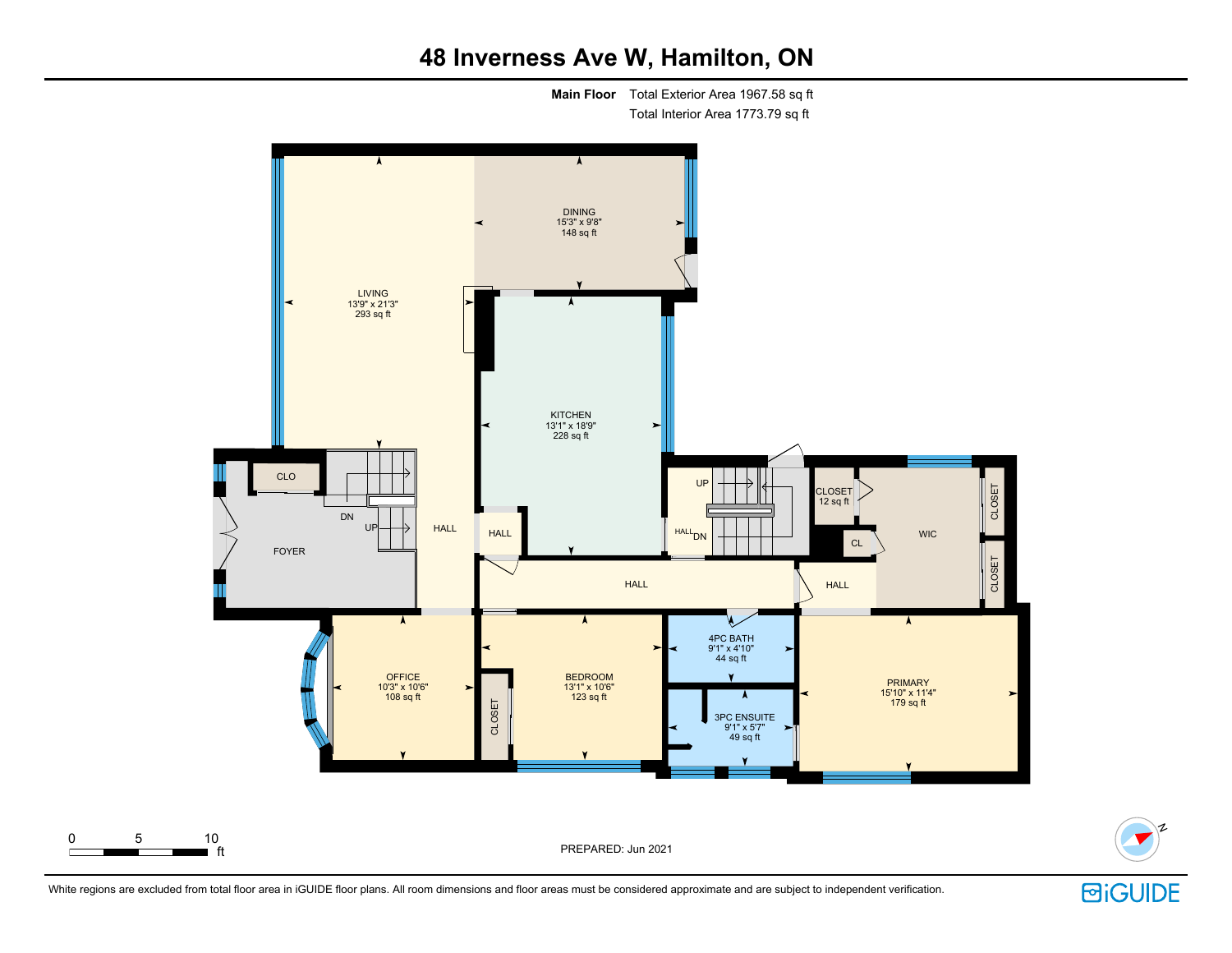**Main Floor** Total Exterior Area 1967.58 sq ft Total Interior Area 1773.79 sq ft





N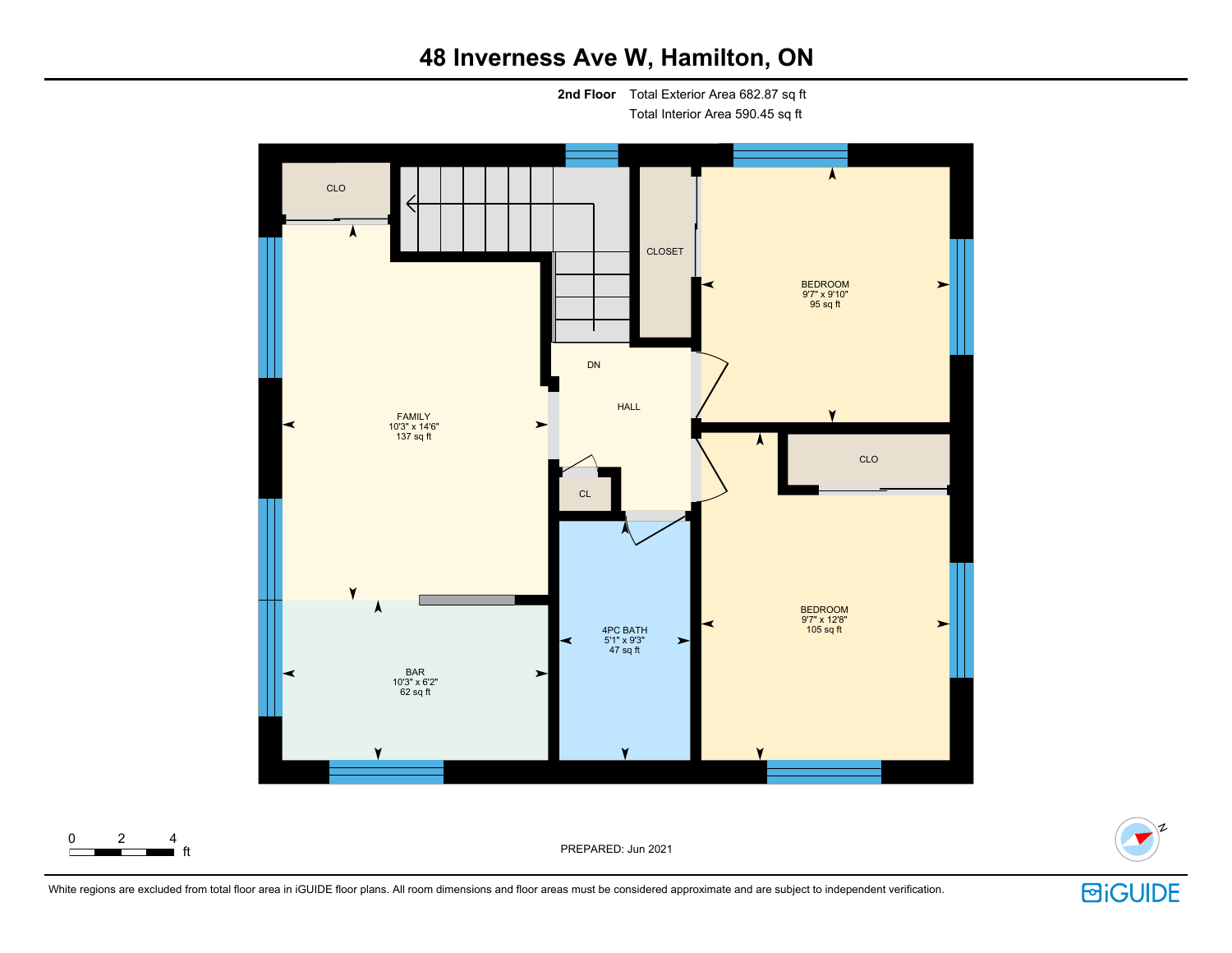**2nd Floor** Total Exterior Area 682.87 sq ft Total Interior Area 590.45 sq ft





PREPARED: Jun 2021



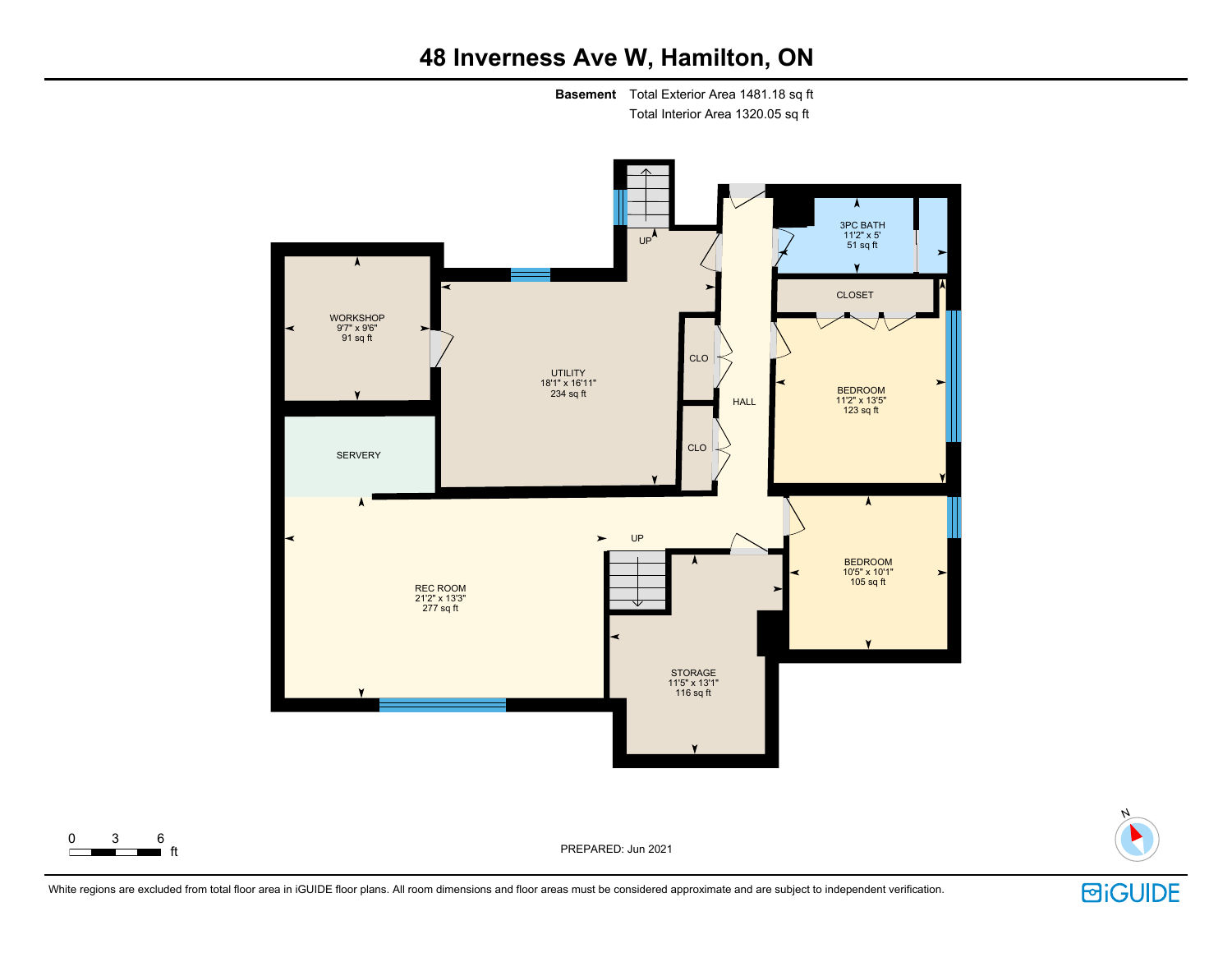**Basement** Total Exterior Area 1481.18 sq ft Total Interior Area 1320.05 sq ft





PREPARED: Jun 2021

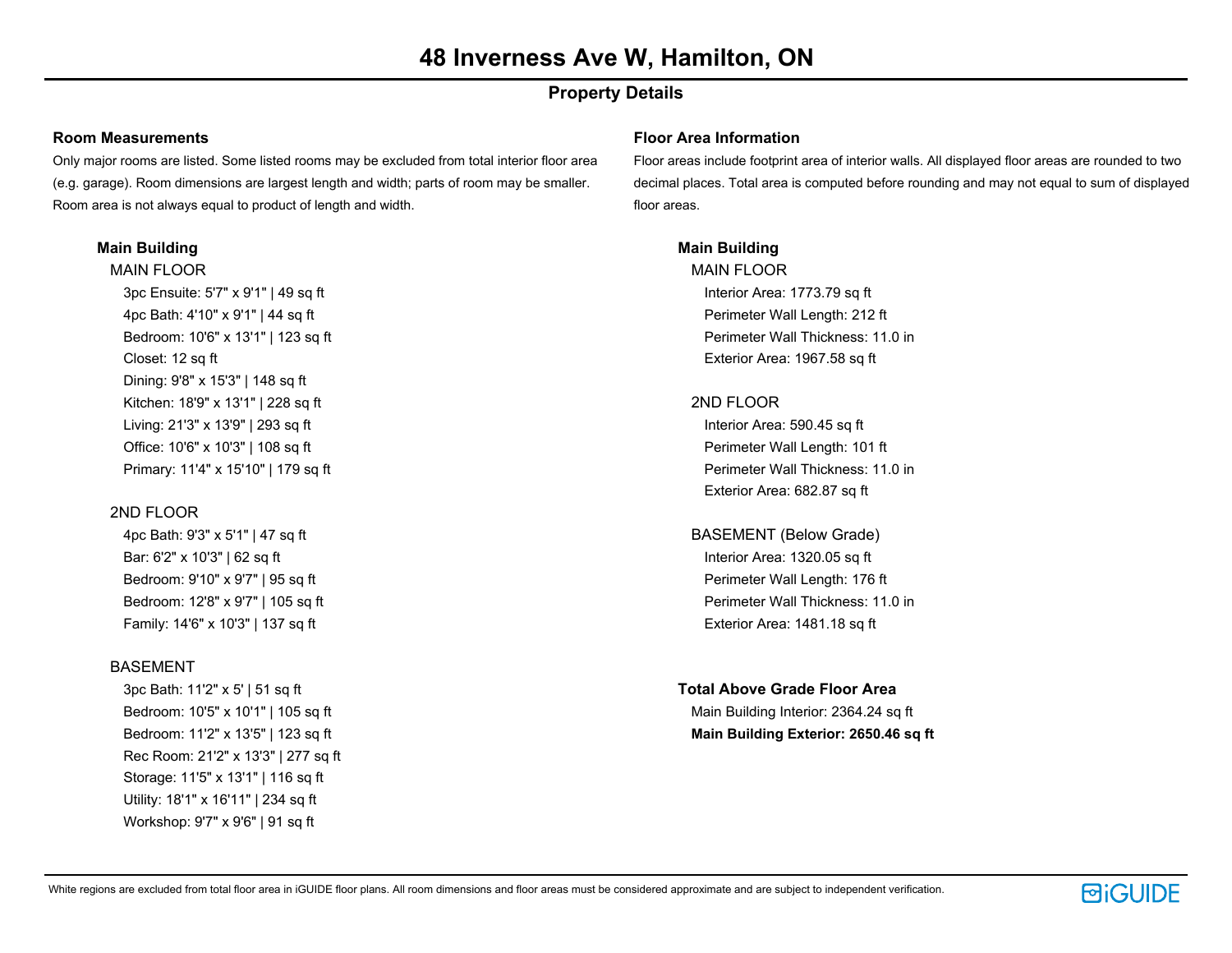### **Property Details**

#### **Room Measurements**

Only major rooms are listed. Some listed rooms may be excluded from total interior floor area (e.g. garage). Room dimensions are largest length and width; parts of room may be smaller. Room area is not always equal to product of length and width.

#### **Main Building**

MAIN FLOOR 3pc Ensuite: 5'7" x 9'1" | 49 sq ft 4pc Bath: 4'10" x 9'1" | 44 sq ft Bedroom: 10'6" x 13'1" | 123 sq ft Closet: 12 sq ft Dining: 9'8" x 15'3" | 148 sq ft Kitchen: 18'9" x 13'1" | 228 sq ft Living: 21'3" x 13'9" | 293 sq ft Office: 10'6" x 10'3" | 108 sq ft Primary: 11'4" x 15'10" | 179 sq ft

#### 2ND FLOOR

4pc Bath: 9'3" x 5'1" | 47 sq ft Bar: 6'2" x 10'3" | 62 sq ft Bedroom: 9'10" x 9'7" | 95 sq ft Bedroom: 12'8" x 9'7" | 105 sq ft Family: 14'6" x 10'3" | 137 sq ft

#### **BASEMENT**

3pc Bath: 11'2" x 5' | 51 sq ft Bedroom: 10'5" x 10'1" | 105 sq ft Bedroom: 11'2" x 13'5" | 123 sq ft Rec Room: 21'2" x 13'3" | 277 sq ft Storage: 11'5" x 13'1" | 116 sq ft Utility: 18'1" x 16'11" | 234 sq ft Workshop: 9'7" x 9'6" | 91 sq ft

#### **Floor Area Information**

Floor areas include footprint area of interior walls. All displayed floor areas are rounded to two decimal places. Total area is computed before rounding and may not equal to sum of displayed floor areas.

#### **Main Building**

MAIN FLOOR Interior Area: 1773.79 sq ft Perimeter Wall Length: 212 ft Perimeter Wall Thickness: 11.0 in Exterior Area: 1967.58 sq ft

#### 2ND FLOOR

Interior Area: 590.45 sq ft Perimeter Wall Length: 101 ft Perimeter Wall Thickness: 11.0 in Exterior Area: 682.87 sq ft

BASEMENT (Below Grade) Interior Area: 1320.05 sq ft Perimeter Wall Length: 176 ft Perimeter Wall Thickness: 11.0 in Exterior Area: 1481.18 sq ft

#### **Total Above Grade Floor Area**

Main Building Interior: 2364.24 sq ft **Main Building Exterior: 2650.46 sq ft**